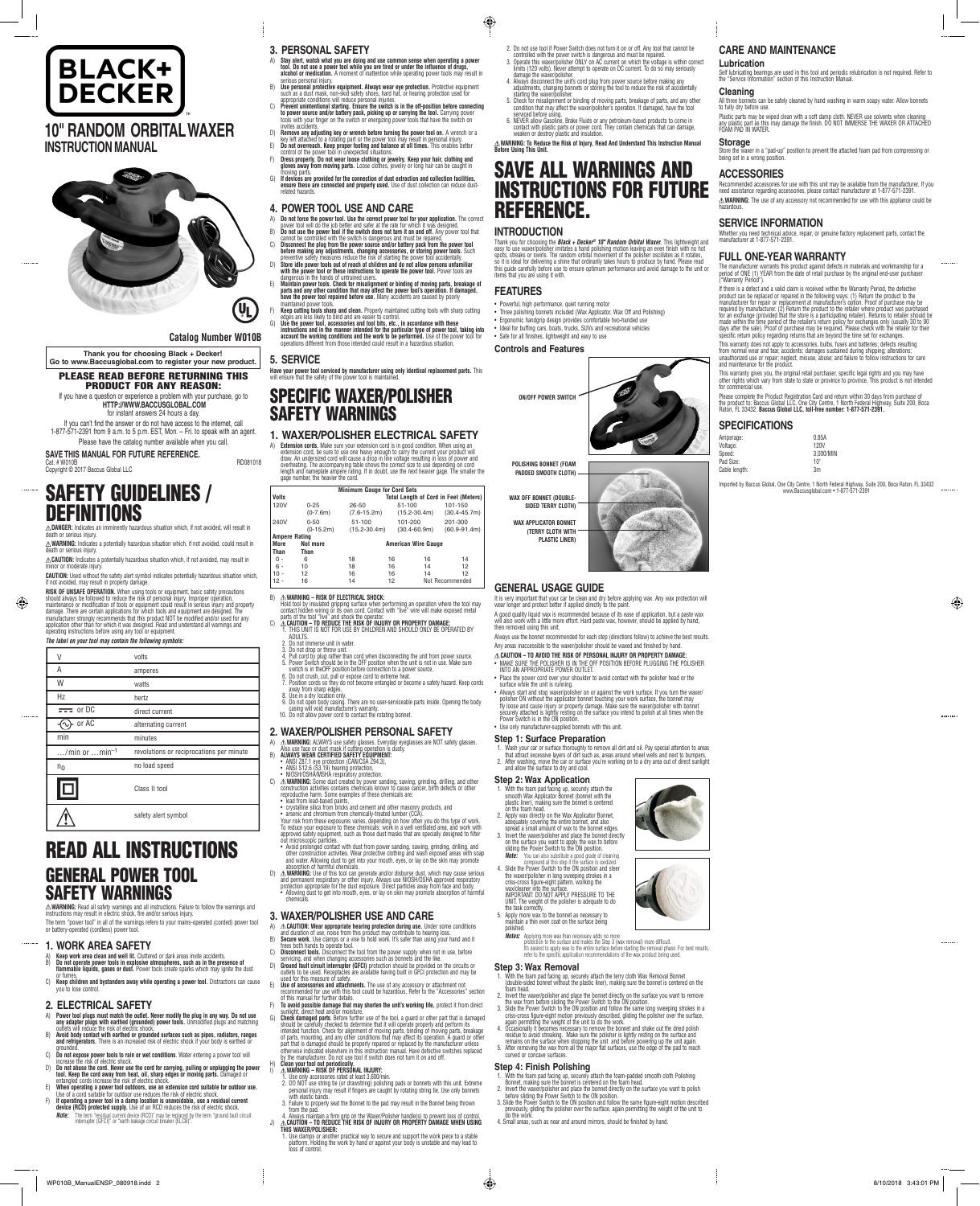



**Catalog Number W010B**

**SAVE THIS MANUAL FOR FUTURE REFERENCE.** Cat. # W010B RD081018 Copyright © 2017 Baccus Global LLC

**Thank you for choosing Black + Decker! Go to www.Baccusglobal.com to register your new product.**

PLEASE READ BEFORE RETURNING THIS

PRODUCT FOR ANY REASON: If you have a question or experience a problem with your purchase, go to **HTTP://WWW.BACCUSGLOBAL.COM** for instant answers 24 hours a day. If you can't find the answer or do not have access to the internet, call

**RISK OF UNSAFE OPERATION.** When using tools or equipment, basic safety precautions should always be tollowed to reduce the risk of personal injury. Improper operation,<br>maintenance or modification of tools or equipment could result in serious injury and property<br>damage. There are certain applications for manufacturer strongly recommends that this product NOT be modified and/or used for any<br>application other than for which it was designed. Read and understand all warnings and<br>operating instructions before using any tool or

1-877-571-2391 from 9 a.m. to 5 p.m. EST, Mon. – Fri. to speak with an agent. Please have the catalog number available when you call.

# SAFETY GUIDELINES / DEFINITIONS **DANGER:** Indicates an imminently hazardous situation which, if not avoided, will result in

death or serious injury. **WARNING:** Indicates a potentially hazardous situation which, if not avoided, could result in

death or serious injury. **CAUTION:** Indicates a potentially hazardous situation which, if not avoided, may result in minor or moderate injury.

**CAUTION:** Used without the safety alert symbol indicates potentially hazardous situation which, if not avoided, may result in property damage.

 $\triangle$ **WARNING:** Read all safety warnings and all instructions. Failure to follow the warnings and<br>instructions may result in electric shock, fire and/or serious injury. The term "power tool" in all of the warnings refers to your mains-operated (corded) power tool or battery-operated (cordless) power tool.

- 
- A) Keep work area clean and well lit. Cluttered or dark areas invite accidents.<br>B) Do not operate power tools in explosive atmospheres, such as in the presence of<br>Tlammable liquids, gases or dust. Power tools create sp
- or fumes. C) **Keep children and bystanders away while operating a power tool.** Distractions can cause you to lose control.

- A) **Power tool plugs must match the outlet. Never modify the plug in any way. Do not use**
- any adapter plugs with earthed (grounded) power tools. Unmodified plugs and matching<br>B) Avoid bootly educe the risk of electric shock.<br>B) Avoid body contact with earthed or grounded surfaces such as pipes, radiators, range
- grounded. C) **Do not expose power tools to rain or wet conditions**. Water entering a power tool will
- increase the risk of electric shock. D) **Do not abuse the cord. Never use the cord for carrying, pulling or unplugging the power tool. Keep the cord away from heat, oil, sharp edges or moving parts.** Damaged or entangled cords increase the risk of electric shock.
- E) **When operating a power tool outdoors, use an extension cord suitable for outdoor use.**  Use of a cord suitable for outdoor use reduces the risk of electric shock.
- F) If **operating a power tool in a damp location is unavoidable, use a residual current**<br>**device (RCD) protected supply.** Use of an RCD reduces the risk of electric shock.<br>**Note:** The term "residual current device (RCD)" m
- 

*The label on your tool may contain the following symbols:*

⊕

| V                                         | volts                                    |
|-------------------------------------------|------------------------------------------|
| Α                                         | amperes                                  |
| W                                         | watts                                    |
| Hz                                        | hertz                                    |
| $= 0rDC$                                  | direct current                           |
| or AC                                     | alternating current                      |
| min                                       | minutes                                  |
| $\dots$ /min or $\dots$ min <sup>-1</sup> | revolutions or reciprocations per minute |
| $n_0$                                     | no load speed                            |
|                                           | Class II tool                            |
|                                           | safety alert symbol                      |
|                                           |                                          |

# READ ALL INSTRUCTIONS GENERAL POWER TOOL SAFETY WARNINGS

#### **1. WORK AREA SAFETY**

- A) **Do not force the power tool. Use the correct power tool for your application.** The correct power tool will do the job better and safer at the rate for which it was designed.
- B) **Do not use the power tool if the switch does not turn it on and off.** Any power tool that cannot be controlled with the switch is dangerous and must be repaired.
- C) Disconnect the plug from the power source and/or battery pack from the power tool<br>before making any adjustments, changing accessories, or storing power tools. Such<br>preventive safety maasures reduce the risk of starting
- **with the power tool or these instructions to operate the power tool.** Power tools are dangerous in the hands of untrained users. E) **Maintain power tools. Check for misalignment or binding of moving parts, breakage of**
- **parts and any other condition that may affect the power tool's operation. If damaged, have the power tool repaired before use.** Many accidents are caused by poorly
- maintained power tools.<br>
F) **Keep cutting tools sharp and clean**. Properly maintained cutting tools with sharp cutting<br>
edges are less likely to bind and are easier to control.<br>
G) **Use the power tool, accessories and tool**
- 

# **2. ELECTRICAL SAFETY**

A) **Extension cords.** Make sure your extension cord is in good condition. When using an extension cord, be sure to use one heavy enough to carry the current your product will<br>draw. An undersized cord will cause a drop in line voltage resulting in loss of power and<br>overheating. The accompanying table shows the

- **3. PERSONAL SAFETY**
- A) **Stay alert, watch what you are doing and use common sense when operating a power tool. Do not use a power tool while you are tired or under the influence of drugs,<br><b>alcohol or medication.** A moment of inattention while operating power tools may result in
- 
- Serious personal injury.<br>
Use personal protective equipment. Always wear eye protection. Protective equipment<br>
such as a dust mask, non-skid safety shoes, hard hat, or hearing protection used for<br>
appropriate conditions wi
- Divites accidents.<br>
Demove any adjusting key or wrench before turning the power tool on. A wrench or a<br>
key left attached to a rotating part or the power tool may result in personal injury.<br>
E) Do not overreach. Keep prope
- 
- **gloves away from moving parts.** Loose clothes, jewelry or long hair can be caught in moving parts. G) **If devices are provided for the connection of dust extraction and collection facilities,**
- **ensure these are connected and properly used.** Use of dust collection can reduce dust-related hazards.

### **4. POWER TOOL USE AND CARE**

#### **5. SERVICE**

**Have your power tool serviced by manufacturer using only identical replacement parts.** This<br>will ensure that the safety of the power tool is maintained.

# SPECIFIC WAXER/POLISHER SAFETY WARNINGS

#### **1. WAXER/POLISHER ELECTRICAL SAFETY**

Thank you for choosing the *Black + Decker® 10" Random Orbital Waxer.* This lightweight and<br>easy to use waxer/polisher imitates a hand polishing motion leaving an even finish with no hot<br>spots, streaks or swirls. The rando this guide carefully before use to ensure optimum performance and avoid damage to the unit or items that you are using it with.

|                      |             | <b>Minimum Gauge for Cord Sets</b>    |                  |                  |  |  |
|----------------------|-------------|---------------------------------------|------------------|------------------|--|--|
| <b>Volts</b>         |             | Total Length of Cord in Feet (Meters) |                  |                  |  |  |
| 120V                 | $0 - 25$    | 26-50                                 | 51-100           | 101-150          |  |  |
|                      | $(0-7.6m)$  | $(7.6 - 15.2m)$                       | $(15.2 - 30.4m)$ | $(30.4 - 45.7m)$ |  |  |
| 240V                 | $0 - 50$    | 51-100                                | 101-200          | 201-300          |  |  |
|                      | $(0-15.2m)$ | $(15.2 - 30.4m)$                      | $(30.4 - 60.9m)$ | $(60.9 - 91.4m)$ |  |  |
| <b>Ampere Rating</b> |             |                                       |                  |                  |  |  |
| More                 | Not more    | <b>American Wire Gauge</b>            |                  |                  |  |  |
| Than                 | Than        |                                       |                  |                  |  |  |
| 0 -                  | 6           | 18                                    | 16               | 16<br>14         |  |  |
| $6 -$                | 10          | 18                                    | 16               | 12<br>14         |  |  |
| $10 -$               | 12          | 16                                    | 16               | 12<br>14         |  |  |
| 12 -                 | 16          | 14                                    | 12               | Not Recommended  |  |  |

B) **WARNING – RISK OF ELECTRICAL SHOCK:** Hold tool by insulated gripping surface when performing an operation where the tool may contact hidden wiring or its own cord. Contact with "live" wire will make exposed metal

# parts of the tool "live" and shock the operator. C) **CAUTION – TO REDUCE THE RISK OF INJURY OR PROPERTY DAMAGE:**

- 1. Wash your car or surface thoroughly to remove all dirt and oil. Pay special attention to areas<br>that attract excessive layers of dirt such as, areas around wheel wells and next to bumpers.<br>2. After washing, move the ca
- and allow the surface to dry and cool.

- 1. With the foam pad facing up, securely attach the smooth Wax Applicator Bonnet (bonnet with the plastic liner), making sure the bonnet is centered on the foam head. 2. Apply wax directly on the Wax Applicator Bonnet,
- adequately covering the entire bonnet, and also spread a small amount of wax to the bonnet edges. 3. Invert the waxer/polisher and place the bonnet directly on the surface you want to apply the wax to before sliding the Power Switch to the ON position.
- **Note:** You can also substitute a good grade of cleaning
- 1. THIS UNIT IS NOT FOR USE BY CHILDREN AND SHOULD ONLY BE OPERATED BY **ADULTS** 2. Do not immerse unit in water.
- 3. Do not drop or throw unit.
- 4. Pull cord by plug rather than cord when disconnecting the unit from power source.<br>5. Power Switch should be in the OFF position when the unit is not in use. Make sure<br>switch is in theOFF position before connection to a
- 
- 
- away from sharp edges. 8. Use in a dry location only. 9. Do not open body casing. There are no user-serviceable parts inside. Opening the body
- casing will void manufacturer's warranty. 10. Do not allow power cord to contact the rotating bonnet.

- 1. With the foam pad facing up, securely attach the terry cloth Wax Removal Bonnet (double-sided bonnet without the plastic liner), making sure the bonnet is centered on the foam head.
- 2. Invert the waxer/polisher and place the bonnet directly on the surface you want to remove<br>the wax from before sliding the Power Switch to the ON position.<br>3. Slide the Power Switch to the ON position and follow the same
- criss-cross figure-eight motion previously described, gliding the polisher over the surface,<br>again permitting the weight of the unit to do the work.
- again permitting the weight of the unit to do the work.<br>A Cocasionally it becomes necessary to remove the bonnet and shake out the dried polish<br>residue to avoid streaking. Make sure the polisher is lightly resting on the s

#### **2. WAXER/POLISHER PERSONAL SAFETY**

- 
- 
- **Step 4: Finish Polishing**<br>1. With the foam pad facing up, securely attach the foam-padded smooth cloth Polishing<br>1. With the foam pad facing up, securely attach the foam-head.<br>2. Invert the waxer/polisher and place the bo
- 4. Small areas, such as near and around mirrors, should be finished by hand.
- A) **WARNING:** ALWAYS use safety glasses. Everyday eyeglasses are NOT safety glasses. Also use face or dust mask if cutting operation is dusty.
- B) **ALWAYS WEAR CERTIFIED SAFETY EQUIPMENT:**
- 
- 
- ANSI Z87.1 eye protection (CAM/CSA Z94.3),<br>• ANSI S12.6 (S3.19) hearing protection,<br>• NIOSH/OSHA/MSHA respiratory protection.<br>C) Δ: WARNING: Some dust created by power sanding, sawing, grinding, drilling, and other<br>Const reproductive harm. Some examples of these chemicals are:
- lead from lead-based paints, '<br>• crystalline silica from bricks and cement and other masonry products, and '
	- crystalline slica from bricks and cennent and other masonry products, and<br>• arsenic and chromium from chemically-treated lumber (CCA).<br>Your risk from these exposures varies, depending on how often you do this type of wor
	-
- D) A WARNING: Use of this tool can generate and/or disburse dust, which may cause serious<br>and permanent respiratory or other injury. Always use NIOSH/OSHA approved respiratory<br>protection appropriate for the dust exposure. • Allowing dust to get into mouth, eyes, or lay on skin may promote absorption of harmful chemicals.

### **3. WAXER/POLISHER USE AND CARE**

A) **CAUTION: Wear appropriate hearing protection during use.** Under some conditions and duration of use, noise from this product may contribute to hearing loss. B) **Secure work.** Use clamps or a vise to hold work. It's safer than using your hand and it

- 2. Do not use tool if Power Switch does not turn it on or off. Any tool that cannot be controlled with the power switch is dangerous and must be repaired.<br>3. Operate this waxer/polisher ONLY on AC current on which the volt
- 
- 5. Check for misalignment or binding of moving parts, breakage of parts, and any other condition that may affect the waxer/polisher's operation. If damaged, have the tool
- serviced before using.<br>C. NEVER allow Gasoline, Brake Fluids or any petroleum-based products to come in<br>contact with plastic parts or power cord. They contain chemicals that can damage,<br>weaken or destroy plastic and insula
- $\triangle$ WARNING: To Reduce the Risk of Injury, Read And Understand This Instruction Manual<br>Before Using This Unit.

frees both hands to operate tool.

Amperage: 0.85A Voltage: 120V<br>Speed: 120V<br>3,000

Pad Size: 10" Cable length: 3m

- C) **Disconnect tools.** Disconnect the tool from the power supply when not in use, before
- servicing, and when changing accessories such as bonnets and the like.<br>D) **Ground fault circuit interrupter (GFCI)** protection should be provided on the circuits or<br>outlets to be used. Receptacles are available having buil
- E) **Use of accessories and attachments.** The use of any accessory or attachment not<br>recommended for use with this tool could be hazardous. Refer to the "Accessories" section<br>of this manual for further details.
- F) **To avoid possible damage that may shorten the unit's working life,** protect it from direct
- sunlight, direct heat and/or moisture. G) **Check damaged parts**. Before further use of the tool, a guard or other part that is damaged should be carefully checked to determine that it will operate properly and perform its<br>intended function. Check for alignment of moving parts, binding of moving parts, breakage<br>of parts, mounting, and any other conditions part that is damaged should be properly repaired or replaced by the manufacturer unless otherwise indicated elsewhere in this instruction manual. Have defective switches replaced

- 
- by the manufacturer. Do not use tool if switch does not turn it on and off.<br>
(Figure your tool out periodically<br>
(Campy on the pressure of the PERSONAL INJURY:<br>
(Campy accessories rated at least 3,600/min.<br>
2. DO NOT use s
- 3. Failure to properly seat the Bonnet to the pad may result in the Bonnet being thrown
- from the pad. 4. Always maintain a firm grip on the Waxer/Polisher handle(s) to prevent loss of control.
- J) AS CAUTION TO REDUCE THE RISK OF INJURY OR PROPERTY DAMAGE WHEN USING<br>THIS WAXER/POLISHER:<br>1. Use clamps or another practical way to secure and support the work piece to a stable<br>platform. Holding the work by hand or

# SAVE ALL WARNINGS AND INSTRUCTIONS FOR FUTURE REFERENCE.

# **INTRODUCTION**

### **FEATURES**

 $\bigoplus$ 

- 
- Powerful, high performance, quiet running motor Three polishing bonnets included (Wax Applicator, Wax Off and Polishing)
- Ergonomic handgrip design provides comfortable two-handed use • Ideal for buffing cars, boats, trucks, SUVs and recreational vehicles
- Safe for all finishes, lightweight and easy to use

#### **Controls and Features**







# **GENERAL USAGE GUIDE**

It is very important that your car be clean and dry before applying wax. Any wax protection will wear longer and protect better if applied directly to the paint. A good quality liquid wax is recommended because of its ease of application, but a paste wax

will also work with a little more effort. Hard paste wax, however, should be applied by hand, then removed using this unit.

Always use the bonnet recommended for each step (directions follow) to achieve the best results. Any areas inaccessible to the waxer/polisher should be waxed and finished by hand.

# **CAUTION – TO AVOID THE RISK OF PERSONAL INJURY OR PROPERTY DAMAGE:**

- MAKE SURE THE POLISHER IS IN THE OFF POSITION BEFORE PLUGGING THE POLISHER INTO AN APPROPRIATE POWER OUTLET.
- Place the power cord over your shoulder to avoid contact with the polisher head or the surface while the unit is running. • Always start and stop waxer/polisher on or against the work surface. If you turn the waxer/
- polisher ON without the applicator bonnet touching your work surface, the bonnet may<br>fly loose and cause injury or property damage. Make sure the waxer/polisher with bonnet<br>securely attached is lightly resting on the surfa Power Switch is in the ON position. • Use only manufacturer-supplied bonnets with this unit.

### **Step 1: Surface Preparation**

# **Step 2: Wax Application**

compound at this step if the surface is oxidized. 4. Slide the Power Switch to the ON position and steer the waxer/polisher in long sweeping strokes in a criss-cross figure-eight pattern, working the wax/cleaner into the surface. IMPORTANT: DO NOT APPLY PRESSURE TO THE UNIT. The weight of the polisher is adequate to do the task correctly.

5. Apply more wax to the bonnet as necessary to maintain a thin even coat on the surface being polished.

*Notes:* Applying more wax than necessary adds no more

protection to the surface and makes the Step 3 (wax removal) more difficult. It's easiest to apply wax to the entire surface before starting the removal phase. For best results, refer to the specific application recommendations of the wax product being used.

### **Step 3: Wax Removal**

# **CARE AND MAINTENANCE**

#### **Lubrication**

All three bonnets can b<br>to fully dry before use.

Self lubricating bearings are used in this tool and periodic relubrication is not required. Refer to the "Service Information" section of this Instruction Manual. **Cleaning**

Plastic parts may be wiped clean with a soft damp cloth. NEVER use solvents when cleaning<br>any plastic part as this may damage the finish. DO NOT IMMERSE THE WAXER OR ATTACHED<br>FOAM PAD IN WATER.

**Storage**

Store the waxer in a "pad-up" position to prevent the attached foam pad from compressing or being set in a wrong position.

**ACCESSORIES**

Recommended accessories for use with this unit may be available from the manufacturer. If you need assistance regarding accessories, please contact manufacturer at 1-877-571-2391. **WARNING:** The use of any accessory not recommended for use with this appliance could be

hazardous.

**SERVICE INFORMATION**

Whether you need technical advice, repair, or genuine factory replacement parts, contact the manufacturer at 1-877-571-2391.

The manufacturer warrants this product against defects in materials and workmanship for a<br>period of ONE (1) YEAR from the date of retail purchase by the original end-user purchaser<br>("Warranty Period").

If there is a defect and a valid claim is received within the Warranty Period, the defective<br>product can be replaced or repaired in the following ways: (1) Return the product to the<br>manufacturer for repair or replacement a

**FULL ONE-YEAR WARRANTY**

days after the sale). Proof of purchase may be required. Please check with the retailer for their specific return policy regarding returns that are beyond the time set for exchanges. This warranty does not apply to accessories, bulbs, fuses and batteries; defects resulting from normal wear and tear, accidents; damages sustained during shipping; alterations; unauthorized use or repair; neglect, misuse, abuse; and failure to follow instructions for care and maintenance for the product. This warranty gives you, the original retail purchaser, specific legal rights and you may have other rights which vary from state to state or province to province. This product is not intended

Please complete the Product Registration Card and return within 30 days from purchase of<br>the product to: Baccus Global LLC, One City Centre, 1 North Federal Highway, Suite 200, Boca<br>Raton, FL 33432. **Baccus Global LLC, tol** 

3,000/MIN

for commercial use.

**SPECIFICATIONS**

Imported by Baccus Global, One City Centre, 1 North Federal Highway, Suite 200, Boca Raton, FL 33432 www.Baccusglobal.com • 1-877-571-2391

⊕

can be safely cleaned by hand washing in warm soapy water. Allow bonnets